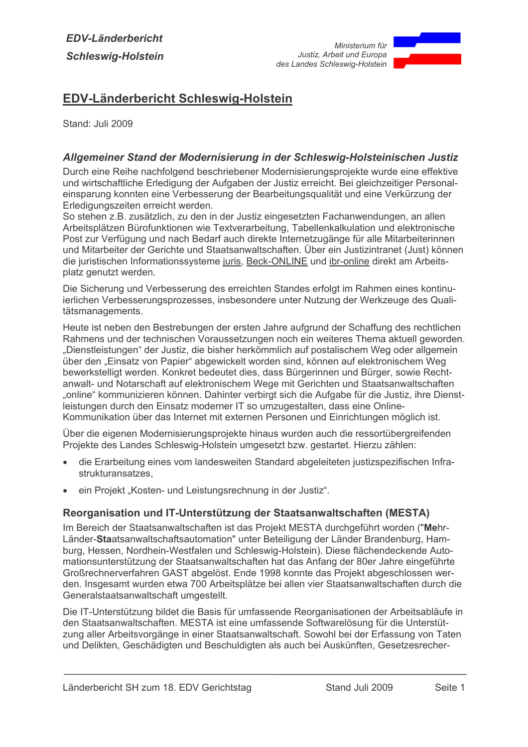

## **EDV-Länderbericht Schleswig-Holstein**

Stand: Juli 2009

## Allgemeiner Stand der Modernisierung in der Schleswig-Holsteinischen Justiz

Durch eine Reihe nachfolgend beschriebener Modernisierungsprojekte wurde eine effektive und wirtschaftliche Erledigung der Aufgaben der Justiz erreicht. Bei gleichzeitiger Personaleinsparung konnten eine Verbesserung der Bearbeitungsqualität und eine Verkürzung der Erledigungszeiten erreicht werden.

So stehen z.B. zusätzlich, zu den in der Justiz eingesetzten Fachanwendungen, an allen Arbeitsplätzen Bürofunktionen wie Textverarbeitung, Tabellenkalkulation und elektronische Post zur Verfügung und nach Bedarf auch direkte Internetzugänge für alle Mitarbeiterinnen und Mitarbeiter der Gerichte und Staatsanwaltschaften. Über ein Justizintranet (Just) können die juristischen Informationssysteme juris, Beck-ONLINE und ibr-online direkt am Arbeitsplatz genutzt werden.

Die Sicherung und Verbesserung des erreichten Standes erfolgt im Rahmen eines kontinuierlichen Verbesserungsprozesses, insbesondere unter Nutzung der Werkzeuge des Qualitätsmanagements.

Heute ist neben den Bestrebungen der ersten Jahre aufgrund der Schaffung des rechtlichen Rahmens und der technischen Voraussetzungen noch ein weiteres Thema aktuell geworden. "Dienstleistungen" der Justiz, die bisher herkömmlich auf postalischem Weg oder allgemein über den "Einsatz von Papier" abgewickelt worden sind, können auf elektronischem Weg bewerkstelligt werden. Konkret bedeutet dies, dass Bürgerinnen und Bürger, sowie Rechtanwalt- und Notarschaft auf elektronischem Wege mit Gerichten und Staatsanwaltschaften "online" kommunizieren können. Dahinter verbirgt sich die Aufgabe für die Justiz, ihre Dienstleistungen durch den Einsatz moderner IT so umzugestalten, dass eine Online-Kommunikation über das Internet mit externen Personen und Einrichtungen möglich ist.

Über die eigenen Modernisierungsprojekte hinaus wurden auch die ressortübergreifenden Projekte des Landes Schleswig-Holstein umgesetzt bzw. gestartet. Hierzu zählen:

- die Erarbeitung eines vom landesweiten Standard abgeleiteten justizspezifischen Infra- $\bullet$ strukturansatzes.
- ein Projekt "Kosten- und Leistungsrechnung in der Justiz".

#### Reorganisation und IT-Unterstützung der Staatsanwaltschaften (MESTA)

Im Bereich der Staatsanwaltschaften ist das Projekt MESTA durchgeführt worden ("Mehr-Länder-Staatsanwaltschaftsautomation" unter Beteiligung der Länder Brandenburg, Hamburg, Hessen, Nordhein-Westfalen und Schleswig-Holstein). Diese flächendeckende Automationsunterstützung der Staatsanwaltschaften hat das Anfang der 80er Jahre eingeführte Großrechnerverfahren GAST abgelöst. Ende 1998 konnte das Projekt abgeschlossen werden. Insgesamt wurden etwa 700 Arbeitsplätze bei allen vier Staatsanwaltschaften durch die Generalstaatsanwaltschaft umgestellt.

Die IT-Unterstützung bildet die Basis für umfassende Reorganisationen der Arbeitsabläufe in den Staatsanwaltschaften. MESTA ist eine umfassende Softwarelösung für die Unterstützung aller Arbeitsvorgänge in einer Staatsanwaltschaft. Sowohl bei der Erfassung von Taten und Delikten, Geschädigten und Beschuldigten als auch bei Auskünften, Gesetzesrecher-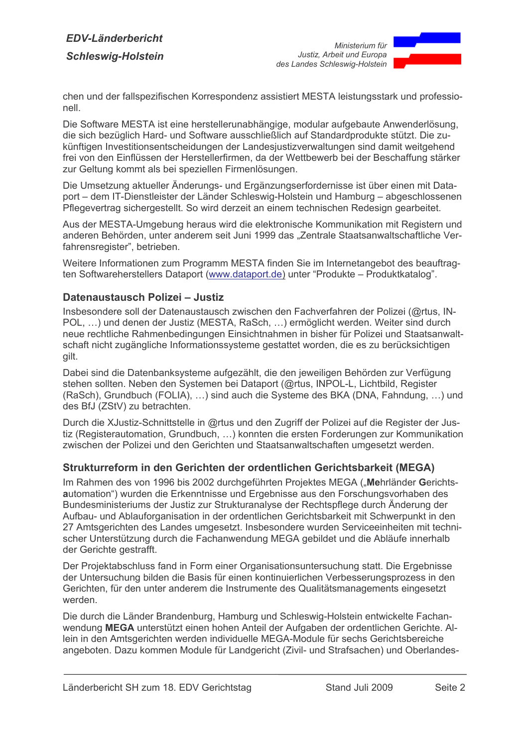# **FDV-I änderbericht Schleswig-Holstein**



chen und der fallspezifischen Korrespondenz assistiert MESTA leistungsstark und professionell

Die Software MESTA ist eine herstellerunabhängige, modular aufgebaute Anwenderlösung, die sich bezüglich Hard- und Software ausschließlich auf Standardprodukte stützt. Die zukünftigen Investitionsentscheidungen der Landesiustizverwaltungen sind damit weitgehend frei von den Einflüssen der Herstellerfirmen, da der Wettbewerb bei der Beschaffung stärker zur Geltung kommt als bei speziellen Firmenlösungen.

Die Umsetzung aktueller Änderungs- und Ergänzungserfordernisse ist über einen mit Dataport – dem IT-Dienstleister der Länder Schleswig-Holstein und Hamburg – abgeschlossenen Pflegevertrag sichergestellt. So wird derzeit an einem technischen Redesign gearbeitet.

Aus der MESTA-Umgebung heraus wird die elektronische Kommunikation mit Registern und anderen Behörden, unter anderem seit Juni 1999 das "Zentrale Staatsanwaltschaftliche Verfahrensregister", betrieben.

Weitere Informationen zum Programm MESTA finden Sie im Internetangebot des beauftragten Softwareherstellers Dataport (www.dataport.de) unter "Produkte - Produktkatalog".

#### Datenaustausch Polizei - Justiz

Insbesondere soll der Datenaustausch zwischen den Fachverfahren der Polizei (@rtus. IN-POL, ...) und denen der Justiz (MESTA, RaSch, ...) ermöglicht werden. Weiter sind durch neue rechtliche Rahmenbedingungen Einsichtnahmen in bisher für Polizei und Staatsanwaltschaft nicht zugängliche Informationssysteme gestattet worden, die es zu berücksichtigen gilt.

Dabei sind die Datenbanksysteme aufgezählt, die den jeweiligen Behörden zur Verfügung stehen sollten. Neben den Systemen bei Dataport (@rtus, INPOL-L, Lichtbild, Register (RaSch), Grundbuch (FOLIA), ...) sind auch die Systeme des BKA (DNA, Fahndung, ...) und des BfJ (ZStV) zu betrachten.

Durch die XJustiz-Schnittstelle in @rtus und den Zugriff der Polizei auf die Register der Justiz (Registerautomation, Grundbuch, ...) konnten die ersten Forderungen zur Kommunikation zwischen der Polizei und den Gerichten und Staatsanwaltschaften umgesetzt werden.

#### Strukturreform in den Gerichten der ordentlichen Gerichtsbarkeit (MEGA)

Im Rahmen des von 1996 bis 2002 durchgeführten Projektes MEGA ("Mehrländer Gerichtsautomation") wurden die Erkenntnisse und Ergebnisse aus den Forschungsvorhaben des Bundesministeriums der Justiz zur Strukturanalyse der Rechtspflege durch Änderung der Aufbau- und Ablauforganisation in der ordentlichen Gerichtsbarkeit mit Schwerpunkt in den 27 Amtsgerichten des Landes umgesetzt. Insbesondere wurden Serviceeinheiten mit technischer Unterstützung durch die Fachanwendung MEGA gebildet und die Abläufe innerhalb der Gerichte gestrafft.

Der Projektabschluss fand in Form einer Organisationsuntersuchung statt. Die Ergebnisse der Untersuchung bilden die Basis für einen kontinuierlichen Verbesserungsprozess in den Gerichten, für den unter anderem die Instrumente des Qualitätsmanagements eingesetzt werden

Die durch die Länder Brandenburg, Hamburg und Schleswig-Holstein entwickelte Fachanwendung MEGA unterstützt einen hohen Anteil der Aufgaben der ordentlichen Gerichte. Allein in den Amtsgerichten werden individuelle MEGA-Module für sechs Gerichtsbereiche angeboten. Dazu kommen Module für Landgericht (Zivil- und Strafsachen) und Oberlandes-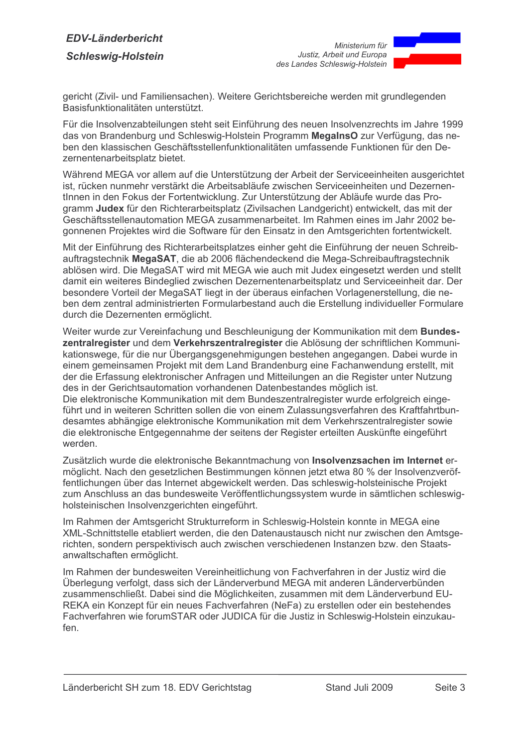# **FDV-I änderbericht Schleswig-Holstein**



gericht (Zivil- und Familiensachen). Weitere Gerichtsbereiche werden mit grundlegenden Basisfunktionalitäten unterstützt.

Für die Insolvenzabteilungen steht seit Einführung des neuen Insolvenzrechts im Jahre 1999 das von Brandenburg und Schleswig-Holstein Programm MegalnsO zur Verfügung, das neben den klassischen Geschäftsstellenfunktionalitäten umfassende Funktionen für den Dezernentenarbeitsplatz bietet.

Während MEGA vor allem auf die Unterstützung der Arbeit der Serviceeinheiten ausgerichtet ist, rücken nunmehr verstärkt die Arbeitsabläufe zwischen Serviceeinheiten und Dezernentinnen in den Fokus der Fortentwicklung. Zur Unterstützung der Abläufe wurde das Programm Judex für den Richterarbeitsplatz (Zivilsachen Landgericht) entwickelt, das mit der Geschäftsstellenautomation MEGA zusammenarbeitet. Im Rahmen eines im Jahr 2002 begonnenen Projektes wird die Software für den Einsatz in den Amtsgerichten fortentwickelt.

Mit der Einführung des Richterarbeitsplatzes einher geht die Einführung der neuen Schreibauftragstechnik MegaSAT, die ab 2006 flächendeckend die Mega-Schreibauftragstechnik ablösen wird. Die MegaSAT wird mit MEGA wie auch mit Judex eingesetzt werden und stellt damit ein weiteres Bindeglied zwischen Dezernentenarbeitsplatz und Serviceeinheit dar. Der besondere Vorteil der MegaSAT liegt in der überaus einfachen Vorlagenerstellung, die neben dem zentral administrierten Formularbestand auch die Erstellung individueller Formulare durch die Dezernenten ermöglicht.

Weiter wurde zur Vereinfachung und Beschleunigung der Kommunikation mit dem Bundeszentralregister und dem Verkehrszentralregister die Ablösung der schriftlichen Kommunikationswege, für die nur Übergangsgenehmigungen bestehen angegangen. Dabei wurde in einem gemeinsamen Projekt mit dem Land Brandenburg eine Fachanwendung erstellt, mit der die Erfassung elektronischer Anfragen und Mitteilungen an die Register unter Nutzung des in der Gerichtsautomation vorhandenen Datenbestandes möglich ist. Die elektronische Kommunikation mit dem Bundeszentralregister wurde erfolgreich einge-

führt und in weiteren Schritten sollen die von einem Zulassungsverfahren des Kraftfahrtbundesamtes abhängige elektronische Kommunikation mit dem Verkehrszentralregister sowie die elektronische Entgegennahme der seitens der Register erteilten Auskünfte eingeführt werden

Zusätzlich wurde die elektronische Bekanntmachung von Insolvenzsachen im Internet ermöglicht. Nach den gesetzlichen Bestimmungen können jetzt etwa 80 % der Insolvenzveröffentlichungen über das Internet abgewickelt werden. Das schleswig-holsteinische Projekt zum Anschluss an das bundesweite Veröffentlichungssystem wurde in sämtlichen schleswigholsteinischen Insolvenzgerichten eingeführt.

Im Rahmen der Amtsgericht Strukturreform in Schleswig-Holstein konnte in MEGA eine XML-Schnittstelle etabliert werden, die den Datenaustausch nicht nur zwischen den Amtsgerichten, sondern perspektivisch auch zwischen verschiedenen Instanzen bzw. den Staatsanwaltschaften ermöglicht.

Im Rahmen der bundesweiten Vereinheitlichung von Fachverfahren in der Justiz wird die Überlegung verfolgt, dass sich der Länderverbund MEGA mit anderen Länderverbünden zusammenschließt. Dabei sind die Möglichkeiten, zusammen mit dem Länderverbund EU-REKA ein Konzept für ein neues Fachverfahren (NeFa) zu erstellen oder ein bestehendes Fachverfahren wie forumSTAR oder JUDICA für die Justiz in Schleswig-Holstein einzukaufen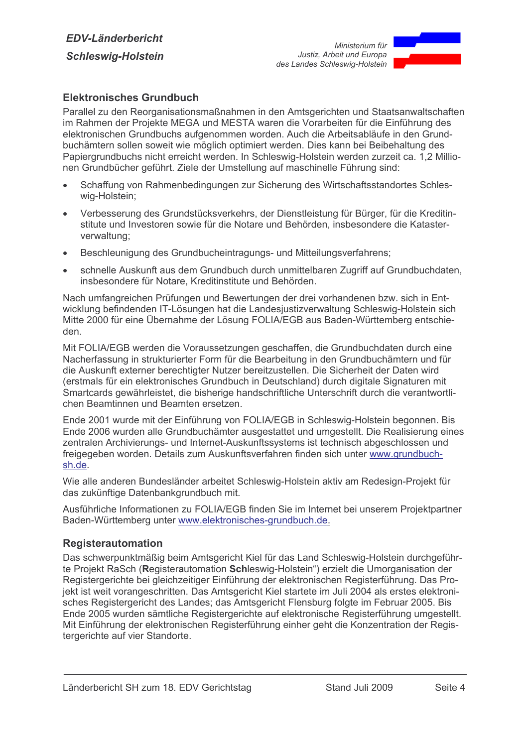

## Elektronisches Grundbuch

Parallel zu den Reorganisationsmaßnahmen in den Amtsgerichten und Staatsanwaltschaften im Rahmen der Projekte MEGA und MESTA waren die Vorarbeiten für die Einführung des elektronischen Grundbuchs aufgenommen worden. Auch die Arbeitsabläufe in den Grundbuchämtern sollen soweit wie möglich optimiert werden. Dies kann bei Beibehaltung des Papiergrundbuchs nicht erreicht werden. In Schleswig-Holstein werden zurzeit ca. 1.2 Millionen Grundbücher geführt. Ziele der Umstellung auf maschinelle Führung sind:

- Schaffung von Rahmenbedingungen zur Sicherung des Wirtschaftsstandortes Schles- $\blacksquare$ wig-Holstein;
- Verbesserung des Grundstücksverkehrs, der Dienstleistung für Bürger, für die Kreditin- $\bullet$ stitute und Investoren sowie für die Notare und Behörden, insbesondere die Katasterverwaltung;
- Beschleunigung des Grundbucheintragungs- und Mitteilungsverfahrens;  $\bullet$
- schnelle Auskunft aus dem Grundbuch durch unmittelbaren Zugriff auf Grundbuchdaten. insbesondere für Notare. Kreditinstitute und Behörden.

Nach umfangreichen Prüfungen und Bewertungen der drei vorhandenen bzw. sich in Entwicklung befindenden IT-Lösungen hat die Landesjustizverwaltung Schleswig-Holstein sich Mitte 2000 für eine Übernahme der Lösung FOLIA/EGB aus Baden-Württemberg entschieden.

Mit FOLIA/EGB werden die Voraussetzungen geschaffen, die Grundbuchdaten durch eine Nacherfassung in strukturierter Form für die Bearbeitung in den Grundbuchämtern und für die Auskunft externer berechtigter Nutzer bereitzustellen. Die Sicherheit der Daten wird (erstmals für ein elektronisches Grundbuch in Deutschland) durch digitale Signaturen mit Smartcards gewährleistet, die bisherige handschriftliche Unterschrift durch die verantwortlichen Beamfinnen und Beamfen ersetzen.

Ende 2001 wurde mit der Einführung von FOLIA/EGB in Schleswig-Holstein begonnen. Bis Ende 2006 wurden alle Grundbuchämter ausgestattet und umgestellt. Die Realisierung eines zentralen Archivierungs- und Internet-Auskunftssystems ist technisch abgeschlossen und freigegeben worden. Details zum Auskunftsverfahren finden sich unter www.grundbuchsh.de.

Wie alle anderen Bundesländer arbeitet Schleswig-Holstein aktiv am Redesign-Projekt für das zukünftige Datenbankgrundbuch mit.

Ausführliche Informationen zu FOLIA/EGB finden Sie im Internet bei unserem Projektpartner Baden-Württemberg unter www.elektronisches-grundbuch.de.

#### **Registerautomation**

Das schwerpunktmäßig beim Amtsgericht Kiel für das Land Schleswig-Holstein durchgeführte Projekt RaSch (Registerautomation Schleswig-Holstein") erzielt die Umorganisation der Registergerichte bei gleichzeitiger Einführung der elektronischen Registerführung. Das Projekt ist weit vorangeschritten. Das Amtsgericht Kiel startete im Juli 2004 als erstes elektronisches Registergericht des Landes; das Amtsgericht Flensburg folgte im Februar 2005. Bis Ende 2005 wurden sämtliche Registergerichte auf elektronische Registerführung umgestellt. Mit Einführung der elektronischen Registerführung einher geht die Konzentration der Registergerichte auf vier Standorte.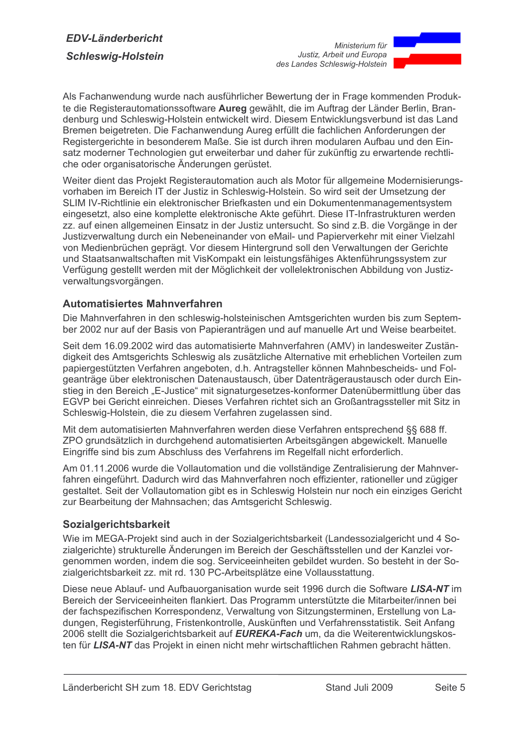

Als Fachanwendung wurde nach ausführlicher Bewertung der in Frage kommenden Produkte die Registerautomationssoftware Aureg gewählt, die im Auftrag der Länder Berlin, Brandenburg und Schleswig-Holstein entwickelt wird. Diesem Entwicklungsverbund ist das Land Bremen beigetreten. Die Fachanwendung Aureg erfüllt die fachlichen Anforderungen der Registergerichte in besonderem Maße. Sie ist durch ihren modularen Aufbau und den Einsatz moderner Technologien gut erweiterbar und daher für zukünftig zu erwartende rechtliche oder organisatorische Änderungen gerüstet.

Weiter dient das Projekt Registerautomation auch als Motor für allgemeine Modernisierungsvorhaben im Bereich IT der Justiz in Schleswig-Holstein. So wird seit der Umsetzung der SLIM IV-Richtlinie ein elektronischer Briefkasten und ein Dokumentenmanagementsystem eingesetzt, also eine komplette elektronische Akte geführt. Diese IT-Infrastrukturen werden zz. auf einen allgemeinen Einsatz in der Justiz untersucht. So sind z.B. die Vorgänge in der Justizverwaltung durch ein Nebeneinander von eMail- und Papierverkehr mit einer Vielzahl von Medienbrüchen geprägt. Vor diesem Hintergrund soll den Verwaltungen der Gerichte und Staatsanwaltschaften mit VisKompakt ein leistungsfähiges Aktenführungssystem zur Verfügung gestellt werden mit der Möglichkeit der vollelektronischen Abbildung von Justizverwaltungsvorgängen.

## Automatisiertes Mahnverfahren

Die Mahnverfahren in den schleswig-holsteinischen Amtsgerichten wurden bis zum September 2002 nur auf der Basis von Papieranträgen und auf manuelle Art und Weise bearbeitet.

Seit dem 16.09.2002 wird das automatisierte Mahnverfahren (AMV) in landesweiter Zuständigkeit des Amtsgerichts Schleswig als zusätzliche Alternative mit erheblichen Vorteilen zum papiergestützten Verfahren angeboten, d.h. Antragsteller können Mahnbescheids- und Folgeanträge über elektronischen Datenaustausch, über Datenträgeraustausch oder durch Einstieg in den Bereich "E-Justice" mit signaturgesetzes-konformer Datenübermittlung über das EGVP bei Gericht einreichen. Dieses Verfahren richtet sich an Großantragssteller mit Sitz in Schleswig-Holstein, die zu diesem Verfahren zugelassen sind.

Mit dem automatisierten Mahnverfahren werden diese Verfahren entsprechend §§ 688 ff. ZPO grundsätzlich in durchgehend automatisierten Arbeitsgängen abgewickelt. Manuelle Eingriffe sind bis zum Abschluss des Verfahrens im Regelfall nicht erforderlich.

Am 01.11.2006 wurde die Vollautomation und die vollständige Zentralisierung der Mahnverfahren eingeführt. Dadurch wird das Mahnverfahren noch effizienter, rationeller und zügiger gestaltet. Seit der Vollautomation gibt es in Schleswig Holstein nur noch ein einziges Gericht zur Bearbeitung der Mahnsachen; das Amtsgericht Schleswig.

#### Sozialgerichtsbarkeit

Wie im MEGA-Projekt sind auch in der Sozialgerichtsbarkeit (Landessozialgericht und 4 Sozialgerichte) strukturelle Änderungen im Bereich der Geschäftsstellen und der Kanzlei vorgenommen worden, indem die sog. Serviceeinheiten gebildet wurden. So besteht in der Sozialgerichtsbarkeit zz. mit rd. 130 PC-Arbeitsplätze eine Vollausstattung.

Diese neue Ablauf- und Aufbauorganisation wurde seit 1996 durch die Software LISA-NT im Bereich der Serviceeinheiten flankiert. Das Programm unterstützte die Mitarbeiter/innen bei der fachspezifischen Korrespondenz, Verwaltung von Sitzungsterminen, Erstellung von Ladungen, Registerführung, Fristenkontrolle, Auskünften und Verfahrensstatistik. Seit Anfang 2006 stellt die Sozialgerichtsbarkeit auf EUREKA-Fach um, da die Weiterentwicklungskosten für LISA-NT das Projekt in einen nicht mehr wirtschaftlichen Rahmen gebracht hätten.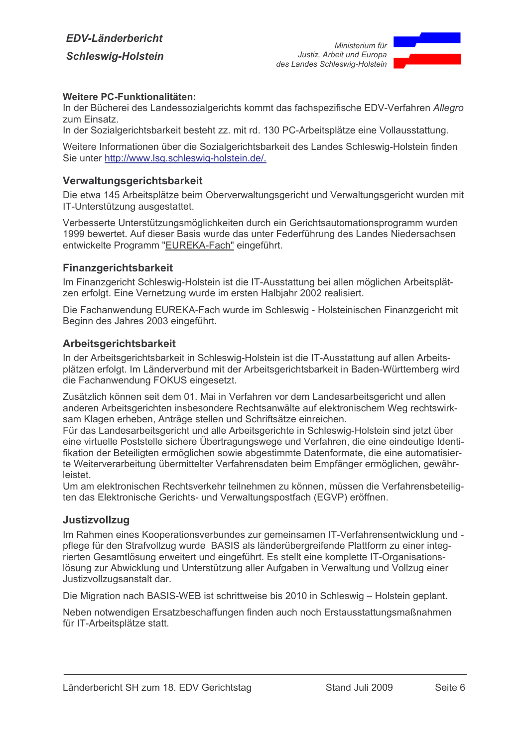

#### Weitere PC-Funktionalitäten:

In der Bücherei des Landessozialgerichts kommt das fachspezifische EDV-Verfahren Allegro zum Einsatz.

In der Sozialgerichtsbarkeit besteht zz. mit rd. 130 PC-Arbeitsplätze eine Vollausstattung.

Weitere Informationen über die Sozialgerichtsbarkeit des Landes Schleswig-Holstein finden Sie unter http://www.lsg.schleswig-holstein.de/.

## Verwaltungsgerichtsbarkeit

Die etwa 145 Arbeitsplätze beim Oberverwaltungsgericht und Verwaltungsgericht wurden mit IT-Unterstützung ausgestattet.

Verbesserte Unterstützungsmöglichkeiten durch ein Gerichtsautomationsprogramm wurden 1999 bewertet. Auf dieser Basis wurde das unter Federführung des Landes Niedersachsen entwickelte Programm "EUREKA-Fach" eingeführt.

## Finanzgerichtsbarkeit

Im Finanzgericht Schleswig-Holstein ist die IT-Ausstattung bei allen möglichen Arbeitsplätzen erfolgt. Eine Vernetzung wurde im ersten Halbiahr 2002 realisiert.

Die Fachanwendung EUREKA-Fach wurde im Schleswig - Holsteinischen Finanzgericht mit Beginn des Jahres 2003 eingeführt.

#### Arbeitsgerichtsbarkeit

In der Arbeitsgerichtsbarkeit in Schleswig-Holstein ist die IT-Ausstattung auf allen Arbeitsplätzen erfolgt. Im Länderverbund mit der Arbeitsgerichtsbarkeit in Baden-Württemberg wird die Fachanwendung FOKUS eingesetzt.

Zusätzlich können seit dem 01. Mai in Verfahren vor dem Landesarbeitsgericht und allen anderen Arbeitsgerichten insbesondere Rechtsanwälte auf elektronischem Weg rechtswirksam Klagen erheben, Anträge stellen und Schriftsätze einreichen.

Für das Landesarbeitsgericht und alle Arbeitsgerichte in Schleswig-Holstein sind jetzt über eine virtuelle Poststelle sichere Übertragungswege und Verfahren, die eine eindeutige Identifikation der Beteiligten ermöglichen sowie abgestimmte Datenformate, die eine automatisierte Weiterverarbeitung übermittelter Verfahrensdaten beim Empfänger ermöglichen, gewährleistet

Um am elektronischen Rechtsverkehr teilnehmen zu können, müssen die Verfahrensbeteiligten das Elektronische Gerichts- und Verwaltungspostfach (EGVP) eröffnen.

#### Justizvollzug

Im Rahmen eines Kooperationsverbundes zur gemeinsamen IT-Verfahrensentwicklung und pflege für den Strafvollzug wurde BASIS als länderübergreifende Plattform zu einer integrierten Gesamtlösung erweitert und eingeführt. Es stellt eine komplette IT-Organisationslösung zur Abwicklung und Unterstützung aller Aufgaben in Verwaltung und Vollzug einer Justizvollzugsanstalt dar.

Die Migration nach BASIS-WEB ist schrittweise bis 2010 in Schleswig - Holstein geplant.

Neben notwendigen Ersatzbeschaffungen finden auch noch Erstausstattungsmaßnahmen für IT-Arbeitsplätze statt.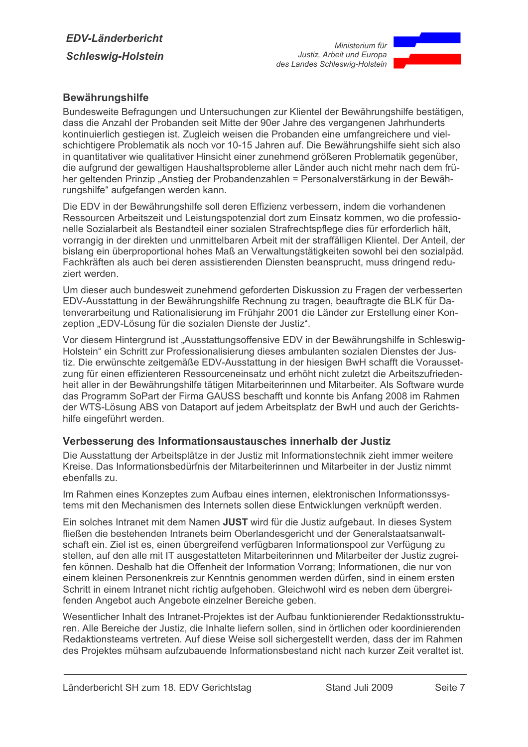

## **Bewährungshilfe**

Bundesweite Befragungen und Untersuchungen zur Klientel der Bewährungshilfe bestätigen, dass die Anzahl der Probanden seit Mitte der 90er Jahre des vergangenen Jahrhunderts kontinuierlich gestiegen ist. Zugleich weisen die Probanden eine umfangreichere und vielschichtigere Problematik als noch vor 10-15 Jahren auf. Die Bewährungshilfe sieht sich also in quantitativer wie qualitativer Hinsicht einer zunehmend größeren Problematik gegenüber. die aufgrund der gewaltigen Haushaltsprobleme aller Länder auch nicht mehr nach dem früher geltenden Prinzip "Anstieg der Probandenzahlen = Personalverstärkung in der Bewährungshilfe" aufgefangen werden kann.

Die EDV in der Bewährungshilfe soll deren Effizienz verbessern, indem die vorhandenen Ressourcen Arbeitszeit und Leistungspotenzial dort zum Einsatz kommen, wo die professionelle Sozialarbeit als Bestandteil einer sozialen Strafrechtspflege dies für erforderlich hält. vorrangig in der direkten und unmittelbaren Arbeit mit der straffälligen Klientel. Der Anteil, der bislang ein überproportional hohes Maß an Verwaltungstätigkeiten sowohl bei den sozialpäd. Fachkräften als auch bei deren assistierenden Diensten beansprucht, muss dringend reduziert werden.

Um dieser auch bundesweit zunehmend geforderten Diskussion zu Fragen der verbesserten EDV-Ausstattung in der Bewährungshilfe Rechnung zu tragen, beauftragte die BLK für Datenverarbeitung und Rationalisierung im Frühjahr 2001 die Länder zur Erstellung einer Konzeption "EDV-Lösung für die sozialen Dienste der Justiz".

Vor diesem Hintergrund ist "Ausstattungsoffensive EDV in der Bewährungshilfe in Schleswig-Holstein" ein Schritt zur Professionalisierung dieses ambulanten sozialen Dienstes der Justiz. Die erwünschte zeitgemäße EDV-Ausstattung in der hiesigen BwH schafft die Voraussetzung für einen effizienteren Ressourceneinsatz und erhöht nicht zuletzt die Arbeitszufriedenheit aller in der Bewährungshilfe tätigen Mitarbeiterinnen und Mitarbeiter. Als Software wurde das Programm SoPart der Firma GAUSS beschafft und konnte bis Anfang 2008 im Rahmen der WTS-Lösung ABS von Dataport auf jedem Arbeitsplatz der BwH und auch der Gerichtshilfe eingeführt werden.

## Verbesserung des Informationsaustausches innerhalb der Justiz

Die Ausstattung der Arbeitsplätze in der Justiz mit Informationstechnik zieht immer weitere Kreise. Das Informationsbedürfnis der Mitarbeiterinnen und Mitarbeiter in der Justiz nimmt ebenfalls zu.

Im Rahmen eines Konzeptes zum Aufbau eines internen, elektronischen Informationssystems mit den Mechanismen des Internets sollen diese Entwicklungen verknüpft werden.

Ein solches Intranet mit dem Namen JUST wird für die Justiz aufgebaut. In dieses System fließen die bestehenden Intranets beim Oberlandesgericht und der Generalstaatsanwaltschaft ein. Ziel ist es, einen übergreifend verfügbaren Informationspool zur Verfügung zu stellen, auf den alle mit IT ausgestatteten Mitarbeiterinnen und Mitarbeiter der Justiz zugreifen können. Deshalb hat die Offenheit der Information Vorrang; Informationen, die nur von einem kleinen Personenkreis zur Kenntnis genommen werden dürfen, sind in einem ersten Schritt in einem Intranet nicht richtig aufgehoben. Gleichwohl wird es neben dem übergreifenden Angebot auch Angebote einzelner Bereiche geben.

Wesentlicher Inhalt des Intranet-Projektes ist der Aufbau funktionierender Redaktionsstrukturen. Alle Bereiche der Justiz, die Inhalte liefern sollen, sind in örtlichen oder koordinierenden Redaktionsteams vertreten. Auf diese Weise soll sichergestellt werden, dass der im Rahmen des Projektes mühsam aufzubauende Informationsbestand nicht nach kurzer Zeit veraltet ist.